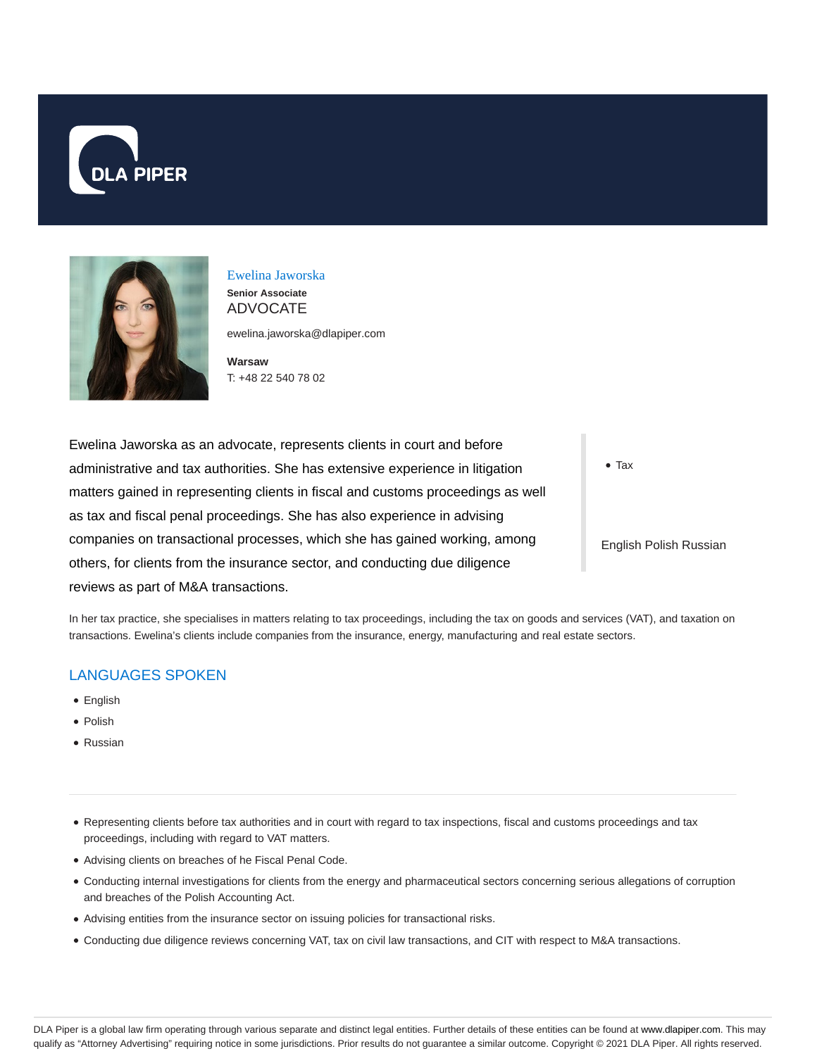



## Ewelina Jaworska

**Senior Associate** ADVOCATE

ewelina.jaworska@dlapiper.com

**Warsaw** T: +48 22 540 78 02

Ewelina Jaworska as an advocate, represents clients in court and before administrative and tax authorities. She has extensive experience in litigation matters gained in representing clients in fiscal and customs proceedings as well as tax and fiscal penal proceedings. She has also experience in advising companies on transactional processes, which she has gained working, among others, for clients from the insurance sector, and conducting due diligence reviews as part of M&A transactions.

• Tax

English Polish Russian

In her tax practice, she specialises in matters relating to tax proceedings, including the tax on goods and services (VAT), and taxation on transactions. Ewelina's clients include companies from the insurance, energy, manufacturing and real estate sectors.

## LANGUAGES SPOKEN

- **•** English
- Polish
- Russian
- Representing clients before tax authorities and in court with regard to tax inspections, fiscal and customs proceedings and tax proceedings, including with regard to VAT matters.
- Advising clients on breaches of he Fiscal Penal Code.
- Conducting internal investigations for clients from the energy and pharmaceutical sectors concerning serious allegations of corruption and breaches of the Polish Accounting Act.
- Advising entities from the insurance sector on issuing policies for transactional risks.
- Conducting due diligence reviews concerning VAT, tax on civil law transactions, and CIT with respect to M&A transactions.